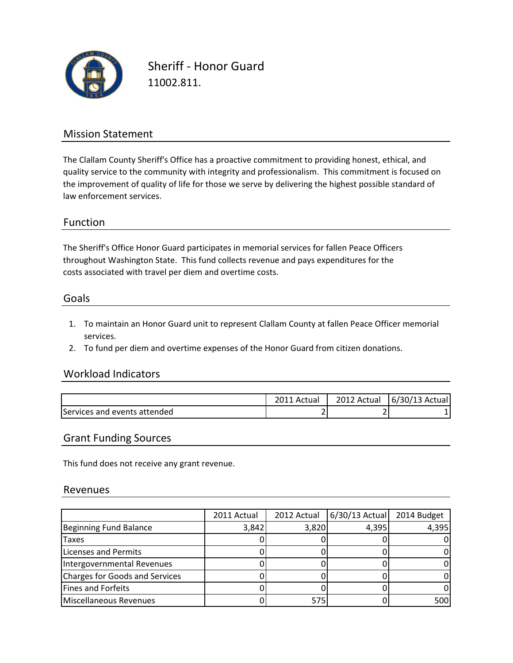

Sheriff - Honor Guard 11002.811.

## Mission Statement

The Clallam County Sheriff's Office has a proactive commitment to providing honest, ethical, and quality service to the community with integrity and professionalism. This commitment is focused on the improvement of quality of life for those we serve by delivering the highest possible standard of law enforcement services.

### Function

The Sheriff's Office Honor Guard participates in memorial services for fallen Peace Officers costs associated with travel per diem and overtime costs. throughout Washington State. This fund collects revenue and pays expenditures for the

#### Goals

- 1. To maintain an Honor Guard unit to represent Clallam County at fallen Peace Officer memorial services.
- 2. To fund per diem and overtime expenses of the Honor Guard from citizen donations.

### Workload Indicators

|                              | Actual | 2012 Actual | 6/30/13 Actual |
|------------------------------|--------|-------------|----------------|
| Services and events attended |        |             |                |

#### Grant Funding Sources

This fund does not receive any grant revenue.

#### Revenues

|                                | 2011 Actual | 2012 Actual | $6/30/13$ Actual | 2014 Budget |
|--------------------------------|-------------|-------------|------------------|-------------|
| Beginning Fund Balance         | 3,842       | 3,820       | 4,395            | 4,395       |
| <b>Taxes</b>                   |             |             |                  |             |
| Licenses and Permits           |             |             |                  |             |
| Intergovernmental Revenues     |             |             |                  |             |
| Charges for Goods and Services |             |             |                  |             |
| Fines and Forfeits             |             |             |                  |             |
| Miscellaneous Revenues         |             | 575         |                  | 500         |